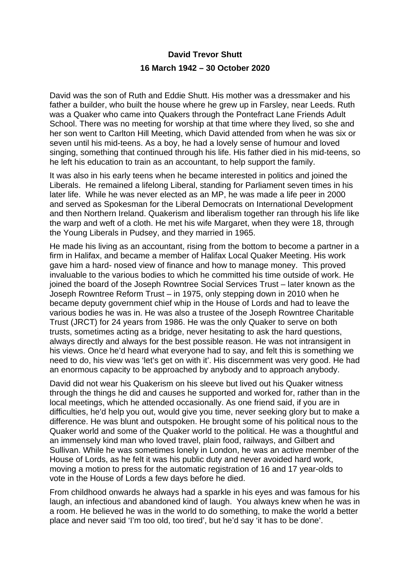## **David Trevor Shutt 16 March 1942 – 30 October 2020**

David was the son of Ruth and Eddie Shutt. His mother was a dressmaker and his father a builder, who built the house where he grew up in Farsley, near Leeds. Ruth was a Quaker who came into Quakers through the Pontefract Lane Friends Adult School. There was no meeting for worship at that time where they lived, so she and her son went to Carlton Hill Meeting, which David attended from when he was six or seven until his mid-teens. As a boy, he had a lovely sense of humour and loved singing, something that continued through his life. His father died in his mid-teens, so he left his education to train as an accountant, to help support the family.

It was also in his early teens when he became interested in politics and joined the Liberals. He remained a lifelong Liberal, standing for Parliament seven times in his later life. While he was never elected as an MP, he was made a life peer in 2000 and served as Spokesman for the Liberal Democrats on International Development and then Northern Ireland. Quakerism and liberalism together ran through his life like the warp and weft of a cloth. He met his wife Margaret, when they were 18, through the Young Liberals in Pudsey, and they married in 1965.

He made his living as an accountant, rising from the bottom to become a partner in a firm in Halifax, and became a member of Halifax Local Quaker Meeting. His work gave him a hard- nosed view of finance and how to manage money. This proved invaluable to the various bodies to which he committed his time outside of work. He joined the board of the Joseph Rowntree Social Services Trust – later known as the Joseph Rowntree Reform Trust – in 1975, only stepping down in 2010 when he became deputy government chief whip in the House of Lords and had to leave the various bodies he was in. He was also a trustee of the Joseph Rowntree Charitable Trust (JRCT) for 24 years from 1986. He was the only Quaker to serve on both trusts, sometimes acting as a bridge, never hesitating to ask the hard questions, always directly and always for the best possible reason. He was not intransigent in his views. Once he'd heard what everyone had to say, and felt this is something we need to do, his view was 'let's get on with it'. His discernment was very good. He had an enormous capacity to be approached by anybody and to approach anybody.

David did not wear his Quakerism on his sleeve but lived out his Quaker witness through the things he did and causes he supported and worked for, rather than in the local meetings, which he attended occasionally. As one friend said, if you are in difficulties, he'd help you out, would give you time, never seeking glory but to make a difference. He was blunt and outspoken. He brought some of his political nous to the Quaker world and some of the Quaker world to the political. He was a thoughtful and an immensely kind man who loved travel, plain food, railways, and Gilbert and Sullivan. While he was sometimes lonely in London, he was an active member of the House of Lords, as he felt it was his public duty and never avoided hard work, moving a motion to press for the automatic registration of 16 and 17 year-olds to vote in the House of Lords a few days before he died.

From childhood onwards he always had a sparkle in his eyes and was famous for his laugh, an infectious and abandoned kind of laugh. You always knew when he was in a room. He believed he was in the world to do something, to make the world a better place and never said 'I'm too old, too tired', but he'd say 'it has to be done'.